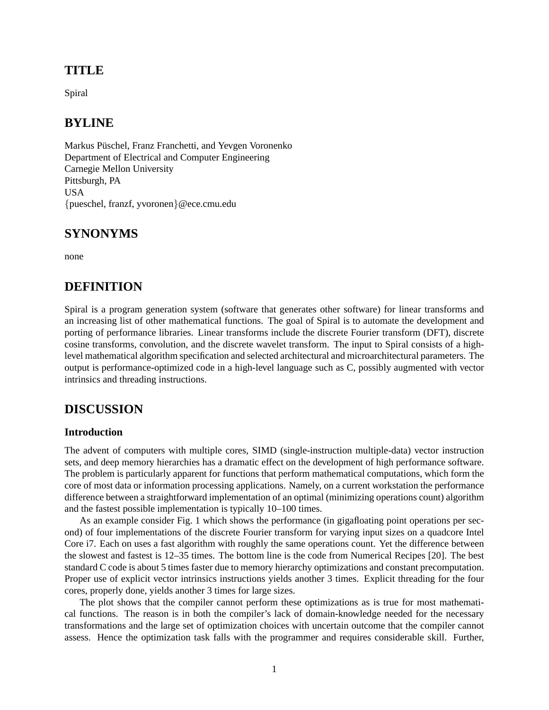## **TITLE**

Spiral

# **BYLINE**

Markus Püschel, Franz Franchetti, and Yevgen Voronenko Department of Electrical and Computer Engineering Carnegie Mellon University Pittsburgh, PA USA {pueschel, franzf, yvoronen}@ece.cmu.edu

# **SYNONYMS**

none

# **DEFINITION**

Spiral is a program generation system (software that generates other software) for linear transforms and an increasing list of other mathematical functions. The goal of Spiral is to automate the development and porting of performance libraries. Linear transforms include the discrete Fourier transform (DFT), discrete cosine transforms, convolution, and the discrete wavelet transform. The input to Spiral consists of a highlevel mathematical algorithm specification and selected architectural and microarchitectural parameters. The output is performance-optimized code in a high-level language such as C, possibly augmented with vector intrinsics and threading instructions.

## **DISCUSSION**

### **Introduction**

The advent of computers with multiple cores, SIMD (single-instruction multiple-data) vector instruction sets, and deep memory hierarchies has a dramatic effect on the development of high performance software. The problem is particularly apparent for functions that perform mathematical computations, which form the core of most data or information processing applications. Namely, on a current workstation the performance difference between a straightforward implementation of an optimal (minimizing operations count) algorithm and the fastest possible implementation is typically 10–100 times.

As an example consider Fig. 1 which shows the performance (in gigafloating point operations per second) of four implementations of the discrete Fourier transform for varying input sizes on a quadcore Intel Core i7. Each on uses a fast algorithm with roughly the same operations count. Yet the difference between the slowest and fastest is 12–35 times. The bottom line is the code from Numerical Recipes [20]. The best standard C code is about 5 times faster due to memory hierarchy optimizations and constant precomputation. Proper use of explicit vector intrinsics instructions yields another 3 times. Explicit threading for the four cores, properly done, yields another 3 times for large sizes.

The plot shows that the compiler cannot perform these optimizations as is true for most mathematical functions. The reason is in both the compiler's lack of domain-knowledge needed for the necessary transformations and the large set of optimization choices with uncertain outcome that the compiler cannot assess. Hence the optimization task falls with the programmer and requires considerable skill. Further,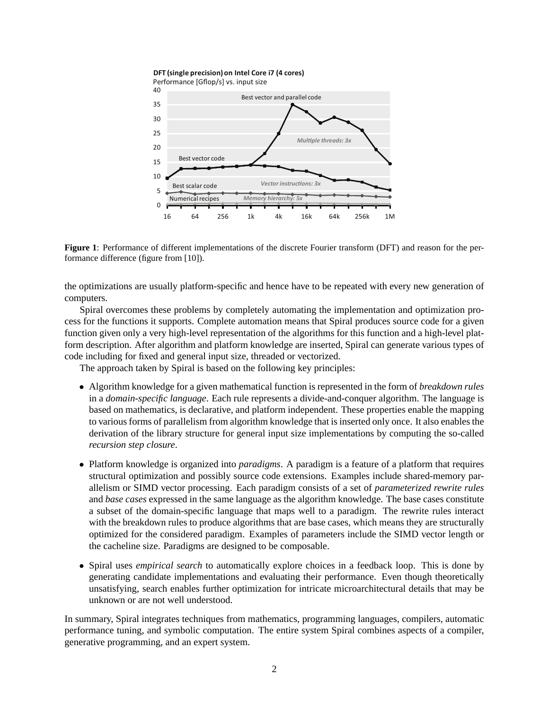



the optimizations are usually platform-specific and hence have to be repeated with every new generation of computers.

Spiral overcomes these problems by completely automating the implementation and optimization process for the functions it supports. Complete automation means that Spiral produces source code for a given function given only a very high-level representation of the algorithms for this function and a high-level platform description. After algorithm and platform knowledge are inserted, Spiral can generate various types of code including for fixed and general input size, threaded or vectorized.

The approach taken by Spiral is based on the following key principles:

- Algorithm knowledge for a given mathematical function is represented in the form of *breakdown rules* in a *domain-specific language*. Each rule represents a divide-and-conquer algorithm. The language is based on mathematics, is declarative, and platform independent. These properties enable the mapping to various forms of parallelism from algorithm knowledge that is inserted only once. It also enables the derivation of the library structure for general input size implementations by computing the so-called *recursion step closure*.
- Platform knowledge is organized into *paradigms*. A paradigm is a feature of a platform that requires structural optimization and possibly source code extensions. Examples include shared-memory parallelism or SIMD vector processing. Each paradigm consists of a set of *parameterized rewrite rules* and *base cases* expressed in the same language as the algorithm knowledge. The base cases constitute a subset of the domain-specific language that maps well to a paradigm. The rewrite rules interact with the breakdown rules to produce algorithms that are base cases, which means they are structurally optimized for the considered paradigm. Examples of parameters include the SIMD vector length or the cacheline size. Paradigms are designed to be composable.
- Spiral uses *empirical search* to automatically explore choices in a feedback loop. This is done by generating candidate implementations and evaluating their performance. Even though theoretically unsatisfying, search enables further optimization for intricate microarchitectural details that may be unknown or are not well understood.

In summary, Spiral integrates techniques from mathematics, programming languages, compilers, automatic performance tuning, and symbolic computation. The entire system Spiral combines aspects of a compiler, generative programming, and an expert system.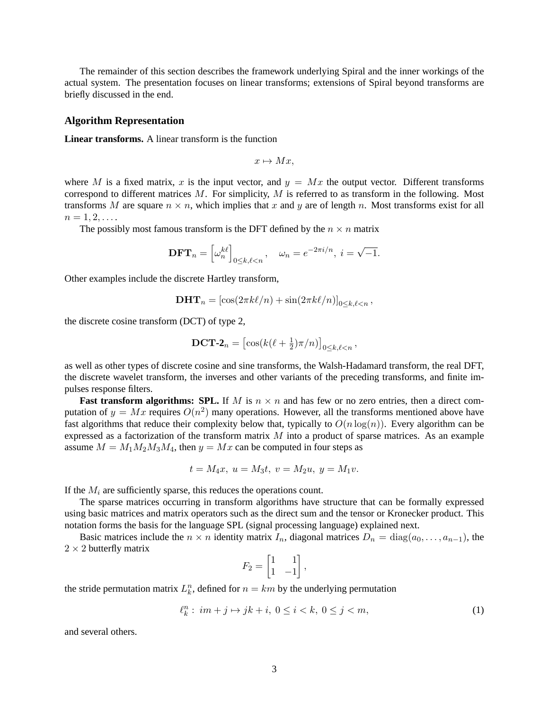The remainder of this section describes the framework underlying Spiral and the inner workings of the actual system. The presentation focuses on linear transforms; extensions of Spiral beyond transforms are briefly discussed in the end.

#### **Algorithm Representation**

**Linear transforms.** A linear transform is the function

$$
x \mapsto Mx,
$$

where M is a fixed matrix, x is the input vector, and  $y = Mx$  the output vector. Different transforms correspond to different matrices  $M$ . For simplicity,  $M$  is referred to as transform in the following. Most transforms M are square  $n \times n$ , which implies that x and y are of length n. Most transforms exist for all  $n = 1, 2, \ldots$ 

The possibly most famous transform is the DFT defined by the  $n \times n$  matrix

$$
\mathbf{DFT}_n = \begin{bmatrix} \omega_n^{k\ell} \end{bmatrix}_{0 \le k,\ell < n}, \quad \omega_n = e^{-2\pi i/n}, \ i = \sqrt{-1}.
$$

Other examples include the discrete Hartley transform,

$$
\mathbf{DHT}_n = \left[\cos(2\pi k\ell/n) + \sin(2\pi k\ell/n)\right]_{0 \leq k,\ell < n},
$$

the discrete cosine transform (DCT) of type 2,

$$
\mathbf{DCT-2}_n = \left[\cos\left(k(\ell+\frac{1}{2})\pi/n\right)\right]_{0\leq k,\ell
$$

as well as other types of discrete cosine and sine transforms, the Walsh-Hadamard transform, the real DFT, the discrete wavelet transform, the inverses and other variants of the preceding transforms, and finite impulses response filters.

**Fast transform algorithms: SPL.** If M is  $n \times n$  and has few or no zero entries, then a direct computation of  $y = Mx$  requires  $O(n^2)$  many operations. However, all the transforms mentioned above have fast algorithms that reduce their complexity below that, typically to  $O(n \log(n))$ . Every algorithm can be expressed as a factorization of the transform matrix  $M$  into a product of sparse matrices. As an example assume  $M = M_1 M_2 M_3 M_4$ , then  $y = Mx$  can be computed in four steps as

$$
t = M_4x, \ u = M_3t, \ v = M_2u, \ y = M_1v.
$$

If the  $M_i$  are sufficiently sparse, this reduces the operations count.

The sparse matrices occurring in transform algorithms have structure that can be formally expressed using basic matrices and matrix operators such as the direct sum and the tensor or Kronecker product. This notation forms the basis for the language SPL (signal processing language) explained next.

Basic matrices include the  $n \times n$  identity matrix  $I_n$ , diagonal matrices  $D_n = \text{diag}(a_0, \ldots, a_{n-1})$ , the  $2 \times 2$  butterfly matrix

$$
F_2 = \begin{bmatrix} 1 & 1 \\ 1 & -1 \end{bmatrix},
$$

the stride permutation matrix  $L_k^n$ , defined for  $n = km$  by the underlying permutation

$$
\ell_k^n: im + j \mapsto jk + i, \ 0 \le i < k, \ 0 \le j < m,\tag{1}
$$

and several others.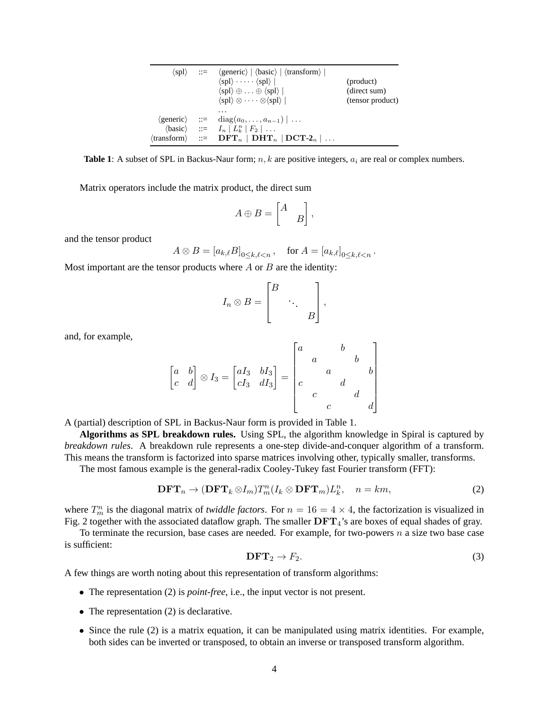|  | $\langle \text{spl} \rangle$ ::= $\langle \text{generic} \rangle   \langle \text{basic} \rangle   \langle \text{transform} \rangle  $ |                  |
|--|---------------------------------------------------------------------------------------------------------------------------------------|------------------|
|  | $\langle \text{spl} \rangle \cdot \cdots \langle \text{spl} \rangle$                                                                  | (product)        |
|  | $\langle \text{spl} \rangle \oplus \ldots \oplus \langle \text{spl} \rangle$                                                          | (direct sum)     |
|  | $\langle \text{spl} \rangle \otimes \cdots \otimes \langle \text{spl} \rangle$                                                        | (tensor product) |
|  |                                                                                                                                       |                  |
|  | $\langle$ generic $\rangle$ : = diag $(a_0, \ldots, a_{n-1})$                                                                         |                  |
|  | $\langle \text{basic} \rangle$ ::= $I_n   L_k^n   F_2   \dots$                                                                        |                  |
|  | $\langle$ transform $\rangle$ ::= DFT <sub>n</sub>   DHT <sub>n</sub>   DCT-2 <sub>n</sub>                                            |                  |

**Table 1**: A subset of SPL in Backus-Naur form;  $n, k$  are positive integers,  $a_i$  are real or complex numbers.

Matrix operators include the matrix product, the direct sum

$$
A \oplus B = \begin{bmatrix} A & \\ & B \end{bmatrix}
$$

,

and the tensor product

$$
A\otimes B=[a_{k,\ell}B]_{0\leq k,\ell
$$

Most important are the tensor products where  $A$  or  $B$  are the identity:

$$
I_n \otimes B = \begin{bmatrix} B & & \\ & \ddots & \\ & & B \end{bmatrix},
$$

and, for example,

$$
\begin{bmatrix} a & b \\ c & d \end{bmatrix} \otimes I_3 = \begin{bmatrix} aI_3 & bI_3 \\ cI_3 & dI_3 \end{bmatrix} = \begin{bmatrix} a & & b & & \\ & a & & b & \\ & & a & & b \\ & & & d & & \\ & & & & d & \\ & & & & & d \end{bmatrix}
$$

A (partial) description of SPL in Backus-Naur form is provided in Table 1.

**Algorithms as SPL breakdown rules.** Using SPL, the algorithm knowledge in Spiral is captured by *breakdown rules*. A breakdown rule represents a one-step divide-and-conquer algorithm of a transform. This means the transform is factorized into sparse matrices involving other, typically smaller, transforms.

The most famous example is the general-radix Cooley-Tukey fast Fourier transform (FFT):

$$
\mathbf{DFT}_n \to (\mathbf{DFT}_k \otimes I_m)T_m^n(I_k \otimes \mathbf{DFT}_m)L_k^n, \quad n = km,
$$
\n(2)

where  $T_m^n$  is the diagonal matrix of *twiddle factors*. For  $n = 16 = 4 \times 4$ , the factorization is visualized in Fig. 2 together with the associated dataflow graph. The smaller  $DFT_4$ 's are boxes of equal shades of gray.

To terminate the recursion, base cases are needed. For example, for two-powers  $n$  a size two base case is sufficient:

$$
\mathbf{DFT}_2 \to F_2. \tag{3}
$$

A few things are worth noting about this representation of transform algorithms:

- The representation (2) is *point-free*, i.e., the input vector is not present.
- The representation (2) is declarative.
- Since the rule (2) is a matrix equation, it can be manipulated using matrix identities. For example, both sides can be inverted or transposed, to obtain an inverse or transposed transform algorithm.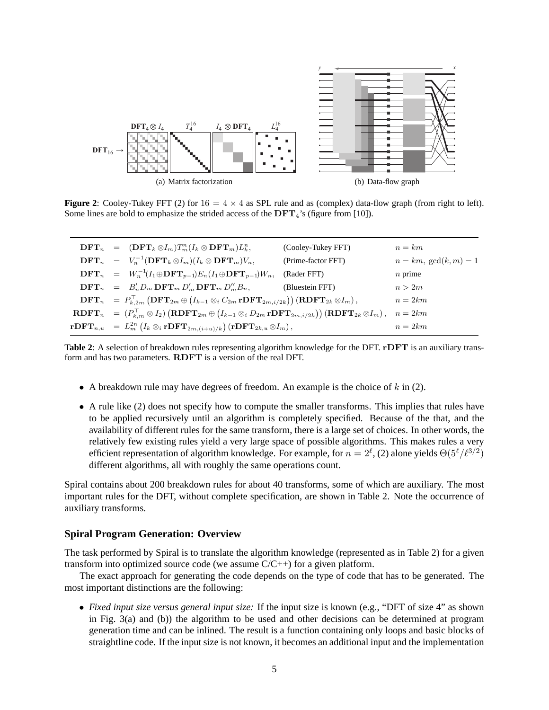

**Figure 2**: Cooley-Tukey FFT (2) for  $16 = 4 \times 4$  as SPL rule and as (complex) data-flow graph (from right to left). Some lines are bold to emphasize the strided access of the  $DFT_4$ 's (figure from [10]).

|  | $\mathbf{DFT}_n = (\mathbf{DFT}_k \otimes I_m) T_m^n (I_k \otimes \mathbf{DFT}_m) L_k^n,$                                                                                                       | (Cooley-Tukey FFT) | $n = km$                   |
|--|-------------------------------------------------------------------------------------------------------------------------------------------------------------------------------------------------|--------------------|----------------------------|
|  | $\mathbf{DFT}_n = V_n^{-1}(\mathbf{DFT}_k \otimes I_m)(I_k \otimes \mathbf{DFT}_m)V_n,$                                                                                                         | (Prime-factor FFT) | $n = km$ , $gcd(k, m) = 1$ |
|  | $\mathbf{DFT}_n = W_n^{-1}(I_1 \oplus \mathbf{DFT}_{p-1})E_n(I_1 \oplus \mathbf{DFT}_{p-1})W_n,$                                                                                                | (Rader FFT)        | $n$ prime                  |
|  | $\mathbf{DFT}_n = B'_n D_m \mathbf{DFT}_m D'_m \mathbf{DFT}_m D''_m B_n,$                                                                                                                       | (Bluestein FFT)    | n>2m                       |
|  | $\text{DFT}_n = P_{k,2m}^\top \left( \text{DFT}_{2m} \oplus (I_{k-1} \otimes_i C_{2m} \text{rDFT}_{2m,i/2k}) \right) (\text{RDFT}_{2k} \otimes I_m),$                                           |                    | $n=2km$                    |
|  | $\text{RDFT}_n = (P_{k,m}^\top \otimes I_2) \left( \text{RDFT}_{2m} \oplus (I_{k-1} \otimes_i D_{2m} \text{rDFT}_{2m,i/2k}) \right) \left( \text{RDFT}_{2k} \otimes I_m \right), \quad n = 2km$ |                    |                            |
|  | $\text{rDFT}_{n,u} \;\; = \; L^{2n}_m \left( I_k \otimes_i \text{rDFT}_{2m,(i+u)/k} \right) \left( \text{rDFT}_{2k,u} \otimes I_m \right),$                                                     |                    | $n=2km$                    |

**Table 2**: A selection of breakdown rules representing algorithm knowledge for the DFT. **rDFT** is an auxiliary transform and has two parameters. RDFT is a version of the real DFT.

- A breakdown rule may have degrees of freedom. An example is the choice of  $k$  in (2).
- A rule like (2) does not specify how to compute the smaller transforms. This implies that rules have to be applied recursively until an algorithm is completely specified. Because of the that, and the availability of different rules for the same transform, there is a large set of choices. In other words, the relatively few existing rules yield a very large space of possible algorithms. This makes rules a very efficient representation of algorithm knowledge. For example, for  $n=2^\ell$ , (2) alone yields  $\Theta(5^\ell/\ell^{3/2})$ different algorithms, all with roughly the same operations count.

Spiral contains about 200 breakdown rules for about 40 transforms, some of which are auxiliary. The most important rules for the DFT, without complete specification, are shown in Table 2. Note the occurrence of auxiliary transforms.

### **Spiral Program Generation: Overview**

The task performed by Spiral is to translate the algorithm knowledge (represented as in Table 2) for a given transform into optimized source code (we assume  $C/C++$ ) for a given platform.

The exact approach for generating the code depends on the type of code that has to be generated. The most important distinctions are the following:

• *Fixed input size versus general input size:* If the input size is known (e.g., "DFT of size 4" as shown in Fig. 3(a) and (b)) the algorithm to be used and other decisions can be determined at program generation time and can be inlined. The result is a function containing only loops and basic blocks of straightline code. If the input size is not known, it becomes an additional input and the implementation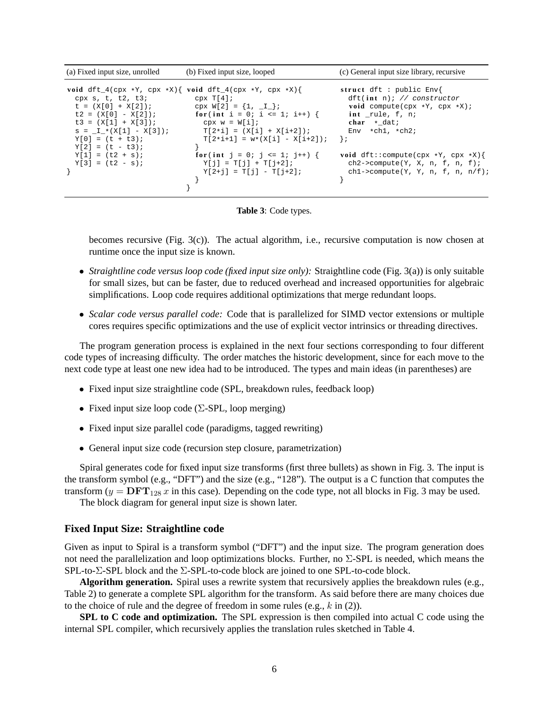| (a) Fixed input size, unrolled                                                                                                                | (b) Fixed input size, looped                                                                                                                                                                                                                      | (c) General input size library, recursive                                                                                                                                           |
|-----------------------------------------------------------------------------------------------------------------------------------------------|---------------------------------------------------------------------------------------------------------------------------------------------------------------------------------------------------------------------------------------------------|-------------------------------------------------------------------------------------------------------------------------------------------------------------------------------------|
| cpx s, t, t2, t3;<br>$t = (X[0] + X[2])$ ;<br>$t2 = (X[0] - X[2])$ ;<br>$t3 = (X[1] + X[3])$<br>$s = I * (X[1] - X[3])$<br>$Y[0] = (t + t3);$ | void dft_4(cpx *Y, cpx *X){ void dft_4(cpx *Y, cpx *X){<br>$\texttt{CPX}$ $\texttt{T[4]}$ ;<br>cpx $W[2] = \{1, -I_{-}\}\$<br>for (int i = 0; i <= 1; i++) {<br>$cpx w = W[i];$<br>$T[2*1] = (X[i] + X[i+2]);$<br>$T[2*1+1] = W*(X[i] - X[i+2]);$ | struct $dft : public Env$<br>dft(int n); // constructor<br><b>void</b> compute(cpx $*Y$ , cpx $*X$ );<br>int rule, f, n;<br>char $\star$ dat;<br>$Env *ch1, *ch2;$<br>$\rightarrow$ |
| $Y[2] = (t - t3)i$<br>$Y[1] = (t2 + s)i$<br>$Y[3] = (t2 - s)i$                                                                                | for (int $j = 0$ ; $j \le 1$ ; $j++)$ {<br>$Y[i] = T[i] + T[i+2];$<br>$Y[2+i] = T[i] - T[i+2]$ ;                                                                                                                                                  | void $dft::compute(cpx *Y, cpx *X)$<br>$ch2$ ->compute(Y, X, n, f, n, f);<br>$ch1$ ->compute(Y, Y, n, f, n, n/f);                                                                   |

**Table 3**: Code types.

becomes recursive (Fig. 3(c)). The actual algorithm, i.e., recursive computation is now chosen at runtime once the input size is known.

- *Straightline code versus loop code (fixed input size only):* Straightline code (Fig. 3(a)) is only suitable for small sizes, but can be faster, due to reduced overhead and increased opportunities for algebraic simplifications. Loop code requires additional optimizations that merge redundant loops.
- *Scalar code versus parallel code:* Code that is parallelized for SIMD vector extensions or multiple cores requires specific optimizations and the use of explicit vector intrinsics or threading directives.

The program generation process is explained in the next four sections corresponding to four different code types of increasing difficulty. The order matches the historic development, since for each move to the next code type at least one new idea had to be introduced. The types and main ideas (in parentheses) are

- Fixed input size straightline code (SPL, breakdown rules, feedback loop)
- Fixed input size loop code ( $\Sigma$ -SPL, loop merging)
- Fixed input size parallel code (paradigms, tagged rewriting)
- General input size code (recursion step closure, parametrization)

Spiral generates code for fixed input size transforms (first three bullets) as shown in Fig. 3. The input is the transform symbol (e.g., "DFT") and the size (e.g., "128"). The output is a C function that computes the transform ( $y = DFT_{128} x$  in this case). Depending on the code type, not all blocks in Fig. 3 may be used.

The block diagram for general input size is shown later.

#### **Fixed Input Size: Straightline code**

Given as input to Spiral is a transform symbol ("DFT") and the input size. The program generation does not need the parallelization and loop optimizations blocks. Further, no  $\Sigma$ -SPL is needed, which means the SPL-to-Σ-SPL block and the Σ-SPL-to-code block are joined to one SPL-to-code block.

**Algorithm generation.** Spiral uses a rewrite system that recursively applies the breakdown rules (e.g., Table 2) to generate a complete SPL algorithm for the transform. As said before there are many choices due to the choice of rule and the degree of freedom in some rules (e.g.,  $k$  in (2)).

**SPL to C code and optimization.** The SPL expression is then compiled into actual C code using the internal SPL compiler, which recursively applies the translation rules sketched in Table 4.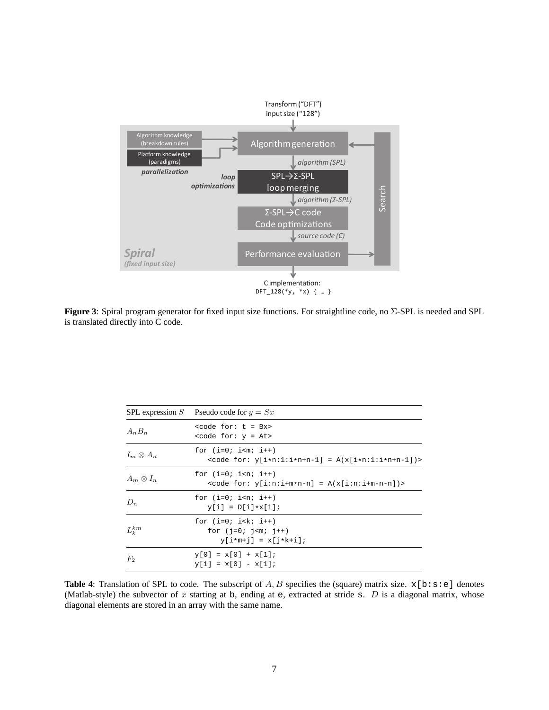

**Figure 3**: Spiral program generator for fixed input size functions. For straightline code, no Σ-SPL is needed and SPL is translated directly into C code.

|                   | SPL expression S Pseudo code for $y = Sx$                                               |
|-------------------|-----------------------------------------------------------------------------------------|
| $A_n B_n$         | $<$ code for: $t = Bx$<br>$\text{code for: } y = \text{At}$                             |
| $I_m \otimes A_n$ | for $(i=0; i\leq m; i++)$<br>$\verb ccode for: y[i*n:1:i*n+n-1] = A(x[i*n:1:i*n+n-1]) $ |
| $A_m \otimes I_n$ | for $(i=0; i\{\text{code for: } y[i:n:i+m*n-n] = A(x[i:n:i+m*n-n])\}$                   |
| $D_n$             | for $(i=0; iy[i] = D[i]*x[i];$                                                          |
| $L_k^{km}$        | for $(i=0; i< k; i++)$<br>for $(i=0; jy[i*m+j] = x[j*k+i];$                             |
| $F_2$             | $y[0] = x[0] + x[1];$<br>$v[1] = x[0] - x[1];$                                          |

**Table 4**: Translation of SPL to code. The subscript of  $A, B$  specifies the (square) matrix size.  $x[b:s:e]$  denotes (Matlab-style) the subvector of  $x$  starting at  $b$ , ending at  $e$ , extracted at stride  $s$ .  $D$  is a diagonal matrix, whose diagonal elements are stored in an array with the same name.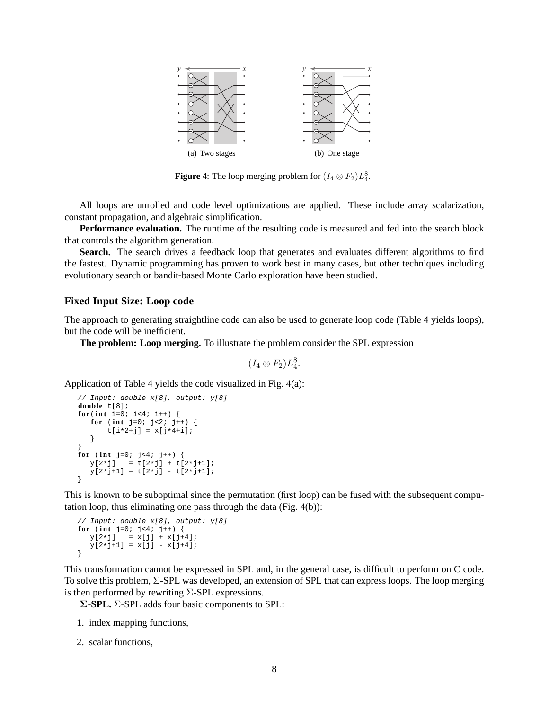

**Figure 4:** The loop merging problem for  $(I_4 \otimes F_2)L_4^8$ .

All loops are unrolled and code level optimizations are applied. These include array scalarization, constant propagation, and algebraic simplification.

**Performance evaluation.** The runtime of the resulting code is measured and fed into the search block that controls the algorithm generation.

Search. The search drives a feedback loop that generates and evaluates different algorithms to find the fastest. Dynamic programming has proven to work best in many cases, but other techniques including evolutionary search or bandit-based Monte Carlo exploration have been studied.

### **Fixed Input Size: Loop code**

The approach to generating straightline code can also be used to generate loop code (Table 4 yields loops), but the code will be inefficient.

**The problem: Loop merging.** To illustrate the problem consider the SPL expression

$$
(I_4\otimes F_2)L_4^8.
$$

Application of Table 4 yields the code visualized in Fig. 4(a):

```
// Input: double x[8], output: y[8]
double t[8];
for(int i=0; i<4; i++) {
   for (int j=0; j<2; j++) {
        t[i*2+j] = x[j*4+i];}
}
for (int j=0; j<4; j++) {
   y[2 * j] = t[2 * j] + t[2 * j + 1];y[2 \star j+1] = t[2 \star j] - t[2 \star j+1];}
```
This is known to be suboptimal since the permutation (first loop) can be fused with the subsequent computation loop, thus eliminating one pass through the data (Fig. 4(b)):

```
// Input: double x[8], output: y[8]
for (int j=0; j<4; j++) {
  y[2 * j] = x[j] + x[j+4];y[2 * j + 1] = x[j] - x[j + 4];}
```
This transformation cannot be expressed in SPL and, in the general case, is difficult to perform on C code. To solve this problem, Σ-SPL was developed, an extension of SPL that can express loops. The loop merging is then performed by rewriting  $\Sigma$ -SPL expressions.

Σ**-SPL.** Σ-SPL adds four basic components to SPL:

- 1. index mapping functions,
- 2. scalar functions,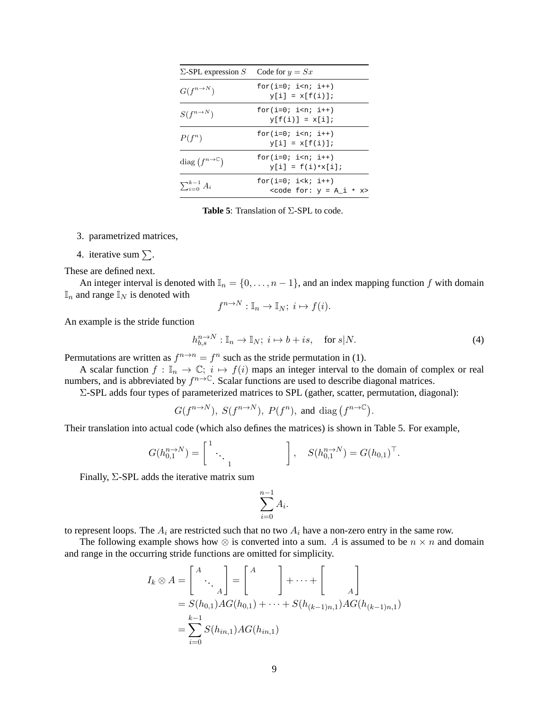| $\Sigma$ -SPL expression S | Code for $y = Sx$                                             |
|----------------------------|---------------------------------------------------------------|
| $G(f^{n\to N})$            | $for(i=0; iy[i] = x[f(i)]$                                    |
| $S(f^{n\to N})$            | $for(i=0; iv[f(i)] = x[i];$                                   |
| $P(f^n)$                   | $for(i=0; iy[i] = x[f(i)]$                                    |
| $diag(f^{n\to\mathbb{C}})$ | $for(i=0; iy[i] = f(i) * x[i];$                               |
| $\sum_{i=0}^{k-1} A_i$     | $for(i=0; i< k; i++)$<br>$\angle$ code for: $y = A i \cdot x$ |

**Table 5**: Translation of Σ-SPL to code.

- 3. parametrized matrices,
- 4. iterative sum  $\sum$ .

These are defined next.

An integer interval is denoted with  $\mathbb{I}_n = \{0, \ldots, n-1\}$ , and an index mapping function f with domain  $\mathbb{I}_n$  and range  $\mathbb{I}_N$  is denoted with

$$
f^{n \to N} : \mathbb{I}_n \to \mathbb{I}_N; i \mapsto f(i).
$$

An example is the stride function

$$
h_{b,s}^{n \to N} : \mathbb{I}_n \to \mathbb{I}_N; \ i \mapsto b + is, \quad \text{for } s \mid N. \tag{4}
$$

.

)

Permutations are written as  $f^{n\to n} = f^n$  such as the stride permutation in (1).

A scalar function  $f : \mathbb{I}_n \to \mathbb{C}$ ;  $i \mapsto f(i)$  maps an integer interval to the domain of complex or real numbers, and is abbreviated by  $f^{n\to\mathbb{C}}$ . Scalar functions are used to describe diagonal matrices.

Σ-SPL adds four types of parameterized matrices to SPL (gather, scatter, permutation, diagonal):

$$
G(f^{n\to N}), S(f^{n\to N}), P(f^n), \text{ and } \text{diag}(f^{n\to \mathbb{C}})
$$

Their translation into actual code (which also defines the matrices) is shown in Table 5. For example,

$$
G(h_{0,1}^{n\to N}) = \begin{bmatrix} 1 & & & \\ & \ddots & & \\ & & 1 & \end{bmatrix}, \quad S(h_{0,1}^{n\to N}) = G(h_{0,1})^{\top}.
$$

Finally,  $\Sigma$ -SPL adds the iterative matrix sum

$$
\sum_{i=0}^{n-1} A_i
$$

.

to represent loops. The  $A_i$  are restricted such that no two  $A_i$  have a non-zero entry in the same row.

The following example shows how  $\otimes$  is converted into a sum. A is assumed to be  $n \times n$  and domain and range in the occurring stride functions are omitted for simplicity.

$$
I_k \otimes A = \begin{bmatrix} A \\ \ddots \\ A \end{bmatrix} = \begin{bmatrix} A \\ \vdots \\ A \end{bmatrix} + \dots + \begin{bmatrix} A \\ \vdots \\ A \end{bmatrix}
$$
  
=  $S(h_{0,1})AG(h_{0,1}) + \dots + S(h_{(k-1)n,1})AG(h_{(k-1)n,1})$   
=  $\sum_{i=0}^{k-1} S(h_{in,1})AG(h_{in,1})$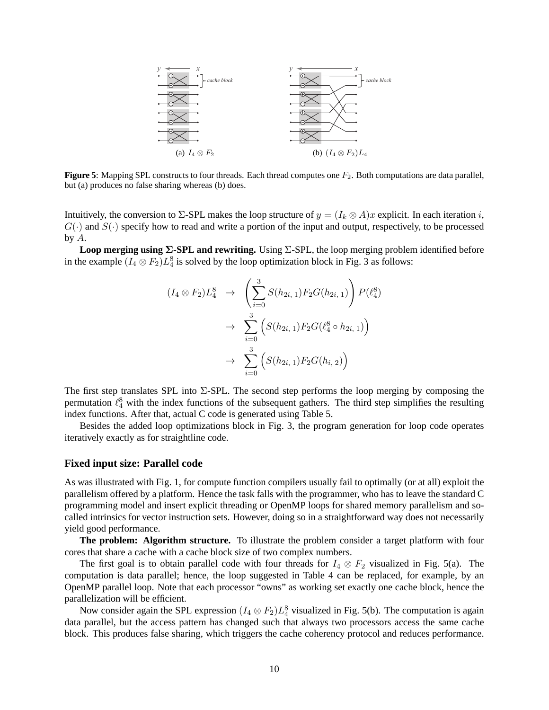

**Figure 5**: Mapping SPL constructs to four threads. Each thread computes one  $F_2$ . Both computations are data parallel, but (a) produces no false sharing whereas (b) does.

Intuitively, the conversion to  $\Sigma$ -SPL makes the loop structure of  $y = (I_k \otimes A)x$  explicit. In each iteration i,  $G(\cdot)$  and  $S(\cdot)$  specify how to read and write a portion of the input and output, respectively, to be processed by A.

**Loop merging using** Σ**-SPL and rewriting.** Using Σ-SPL, the loop merging problem identified before in the example  $(I_4 \otimes F_2)L_4^8$  is solved by the loop optimization block in Fig. 3 as follows:

$$
(I_4 \otimes F_2)L_4^8 \rightarrow \left(\sum_{i=0}^3 S(h_{2i, 1}) F_2 G(h_{2i, 1})\right) P(\ell_4^8)
$$
  

$$
\rightarrow \sum_{i=0}^3 \left(S(h_{2i, 1}) F_2 G(\ell_4^8 \circ h_{2i, 1})\right)
$$
  

$$
\rightarrow \sum_{i=0}^3 \left(S(h_{2i, 1}) F_2 G(h_{i, 2})\right)
$$

The first step translates SPL into Σ-SPL. The second step performs the loop merging by composing the permutation  $\ell_4^8$  with the index functions of the subsequent gathers. The third step simplifies the resulting index functions. After that, actual C code is generated using Table 5.

Besides the added loop optimizations block in Fig. 3, the program generation for loop code operates iteratively exactly as for straightline code.

#### **Fixed input size: Parallel code**

As was illustrated with Fig. 1, for compute function compilers usually fail to optimally (or at all) exploit the parallelism offered by a platform. Hence the task falls with the programmer, who has to leave the standard C programming model and insert explicit threading or OpenMP loops for shared memory parallelism and socalled intrinsics for vector instruction sets. However, doing so in a straightforward way does not necessarily yield good performance.

**The problem: Algorithm structure.** To illustrate the problem consider a target platform with four cores that share a cache with a cache block size of two complex numbers.

The first goal is to obtain parallel code with four threads for  $I_4 \otimes F_2$  visualized in Fig. 5(a). The computation is data parallel; hence, the loop suggested in Table 4 can be replaced, for example, by an OpenMP parallel loop. Note that each processor "owns" as working set exactly one cache block, hence the parallelization will be efficient.

Now consider again the SPL expression  $(I_4 \otimes F_2)L_4^8$  visualized in Fig. 5(b). The computation is again data parallel, but the access pattern has changed such that always two processors access the same cache block. This produces false sharing, which triggers the cache coherency protocol and reduces performance.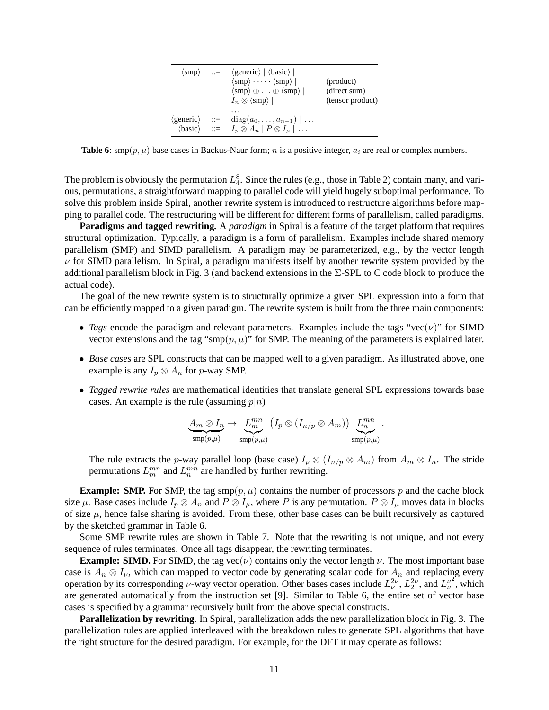|                             | $\langle \text{smp} \rangle$ ::= $\langle \text{generic} \rangle   \langle \text{basic} \rangle  $<br>$\langle \text{smp} \rangle \cdot \cdots \cdot \langle \text{smp} \rangle$<br>$\langle \text{smp} \rangle \oplus \ldots \oplus \langle \text{smp} \rangle$<br>$I_n \otimes \langle \text{smp} \rangle$ | (product)<br>(direct sum)<br>(tensor product) |
|-----------------------------|--------------------------------------------------------------------------------------------------------------------------------------------------------------------------------------------------------------------------------------------------------------------------------------------------------------|-----------------------------------------------|
| $\langle$ generic $\rangle$ | $\therefore$ = diag $(a_0, \ldots, a_{n-1}) \mid \ldots$<br>$\langle \text{basic} \rangle$ ::= $I_p \otimes A_n   P \otimes I_\mu   \dots$                                                                                                                                                                   |                                               |

**Table 6**:  $\text{sup}(p, \mu)$  base cases in Backus-Naur form; *n* is a positive integer,  $a_i$  are real or complex numbers.

The problem is obviously the permutation  $L_4^8$ . Since the rules (e.g., those in Table 2) contain many, and various, permutations, a straightforward mapping to parallel code will yield hugely suboptimal performance. To solve this problem inside Spiral, another rewrite system is introduced to restructure algorithms before mapping to parallel code. The restructuring will be different for different forms of parallelism, called paradigms.

**Paradigms and tagged rewriting.** A *paradigm* in Spiral is a feature of the target platform that requires structural optimization. Typically, a paradigm is a form of parallelism. Examples include shared memory parallelism (SMP) and SIMD parallelism. A paradigm may be parameterized, e.g., by the vector length  $\nu$  for SIMD parallelism. In Spiral, a paradigm manifests itself by another rewrite system provided by the additional parallelism block in Fig. 3 (and backend extensions in the  $\Sigma$ -SPL to C code block to produce the actual code).

The goal of the new rewrite system is to structurally optimize a given SPL expression into a form that can be efficiently mapped to a given paradigm. The rewrite system is built from the three main components:

- *Tags* encode the paradigm and relevant parameters. Examples include the tags "vec( $\nu$ )" for SIMD vector extensions and the tag "smp $(p, \mu)$ " for SMP. The meaning of the parameters is explained later.
- *Base cases* are SPL constructs that can be mapped well to a given paradigm. As illustrated above, one example is any  $I_p \otimes A_n$  for p-way SMP.
- *Tagged rewrite rules* are mathematical identities that translate general SPL expressions towards base cases. An example is the rule (assuming  $p|n$ )

$$
\underline{A_m \otimes I_n} \to \underline{L_m^{mn}} \left(I_p \otimes (I_{n/p} \otimes A_m)\right) \underline{L_n^{mn}} \cdot \underline{\mathrm{supp}(p,\mu)}.
$$

The rule extracts the p-way parallel loop (base case)  $I_p \otimes (I_{n/p} \otimes A_m)$  from  $A_m \otimes I_n$ . The stride permutations  $L_m^{mn}$  and  $L_n^{mn}$  are handled by further rewriting.

**Example: SMP.** For SMP, the tag  $\text{sup}(p, \mu)$  contains the number of processors p and the cache block size  $\mu$ . Base cases include  $I_p \otimes A_n$  and  $P \otimes I_\mu$ , where P is any permutation.  $P \otimes I_\mu$  moves data in blocks of size  $\mu$ , hence false sharing is avoided. From these, other base cases can be built recursively as captured by the sketched grammar in Table 6.

Some SMP rewrite rules are shown in Table 7. Note that the rewriting is not unique, and not every sequence of rules terminates. Once all tags disappear, the rewriting terminates.

**Example: SIMD.** For SIMD, the tag vec( $\nu$ ) contains only the vector length  $\nu$ . The most important base case is  $A_n \otimes I_\nu$ , which can mapped to vector code by generating scalar code for  $A_n$  and replacing every operation by its corresponding  $\nu$ -way vector operation. Other bases cases include  $L^{2\nu}_\nu$ ,  $L^{2\nu}_2$ , and  $L^{2\nu}_\nu$ , which are generated automatically from the instruction set [9]. Similar to Table 6, the entire set of vector base cases is specified by a grammar recursively built from the above special constructs.

**Parallelization by rewriting.** In Spiral, parallelization adds the new parallelization block in Fig. 3. The parallelization rules are applied interleaved with the breakdown rules to generate SPL algorithms that have the right structure for the desired paradigm. For example, for the DFT it may operate as follows: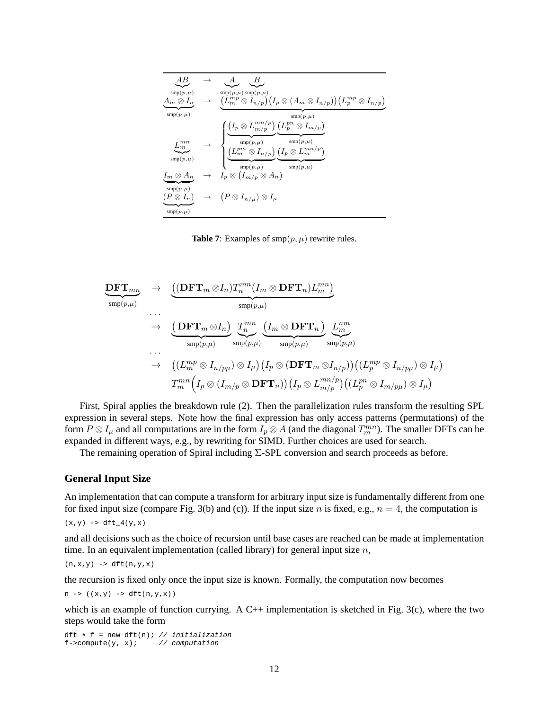$$
\begin{array}{ccc}\n\underbrace{AB}_{\text{smp}(p,\mu)} & \rightarrow & \underbrace{A}_{\text{smp}(p,\mu)} \underbrace{B}_{\text{smp}(p,\mu)}\\
\underbrace{A_m \otimes I_n}_{\text{smp}(p,\mu)} & \rightarrow & \underbrace{\left(L_m^{mp} \otimes I_{n/p}\right)\left(I_p \otimes (A_m \otimes I_{n/p})\right)\left(L_p^{mp} \otimes I_{n/p}\right)}_{\text{smp}(p,\mu)}\\
\underbrace{L_m^{mn}}_{\text{smp}(p,\mu)} & \rightarrow & \underbrace{\left(\underbrace{\left(I_p \otimes L_{m/p}^{mn/p}\right)}_{\text{smp}(p,\mu)} \underbrace{\left(L_p^{pn} \otimes I_{m/p}\right)}_{\text{smp}(p,\mu)}}_{\text{smp}(p,\mu)}\\
\underbrace{I_m \otimes A_n}_{\text{smp}(p,\mu)} & \rightarrow & I_p \otimes \left(I_{m/p} \otimes A_n\right)\\
\underbrace{\left(\underbrace{L_m^{pm} \otimes I_{n/p}\right)}_{\text{smp}(p,\mu)} \underbrace{\left(I_p \otimes L_m^{mn/p}\right)}_{\text{smp}(p,\mu)}}_{\text{smp}(p,\mu)}\n\end{array}
$$

**Table 7:** Examples of  $\text{smp}(p, \mu)$  rewrite rules.

$$
\begin{array}{ccc}\n\mathbf{DFT}_{mn} & \rightarrow & \left((\mathbf{DFT}_m \otimes I_n)T_n^{mn}(I_m \otimes \mathbf{DFT}_n)L_m^{mn}\right) \\
& \cdots & \mathbf{F}_{mp(p,\mu)} \\
& \rightarrow & \left(\mathbf{DFT}_m \otimes I_n\right) \underbrace{T_n^{mn}}_{\text{smp}(p,\mu)} \underbrace{\left(I_m \otimes \mathbf{DFT}_n\right)}_{\text{smp}(p,\mu)} \underbrace{L_m^{nm}}_{\text{smp}(p,\mu)} \\
& \rightarrow & \left((L_m^{mp} \otimes I_{n/p\mu}) \otimes I_\mu\right) \left(I_p \otimes (\mathbf{DFT}_m \otimes I_{n/p})\right) \left((L_p^{mp} \otimes I_{n/p\mu}) \otimes I_\mu\right) \\
& \qquad \qquad T_m^{mn} \left(I_p \otimes (I_{m/p} \otimes \mathbf{DFT}_n)\right) \left(I_p \otimes L_{m/p}^{mn/p}\right) \left((L_p^{pn} \otimes I_{m/p\mu}) \otimes I_\mu\right)\n\end{array}
$$

First, Spiral applies the breakdown rule (2). Then the parallelization rules transform the resulting SPL expression in several steps. Note how the final expression has only access patterns (permutations) of the form  $P \otimes I_\mu$  and all computations are in the form  $I_p \otimes A$  (and the diagonal  $T_m^{mn}$ ). The smaller DFTs can be expanded in different ways, e.g., by rewriting for SIMD. Further choices are used for search.

The remaining operation of Spiral including  $\Sigma$ -SPL conversion and search proceeds as before.

#### **General Input Size**

An implementation that can compute a transform for arbitrary input size is fundamentally different from one for fixed input size (compare Fig. 3(b) and (c)). If the input size n is fixed, e.g.,  $n = 4$ , the computation is

 $(x,y) \rightarrow dft_4(y,x)$ 

and all decisions such as the choice of recursion until base cases are reached can be made at implementation time. In an equivalent implementation (called library) for general input size  $n$ ,

 $(n,x,y) \rightarrow$  dft $(n,y,x)$ 

the recursion is fixed only once the input size is known. Formally, the computation now becomes

 $n \rightarrow ((x,y) \rightarrow dft(n,y,x))$ 

which is an example of function currying. A  $C++$  implementation is sketched in Fig. 3(c), where the two steps would take the form

dft  $*$  f = new dft(n); // initialization f->compute(y, x); // computation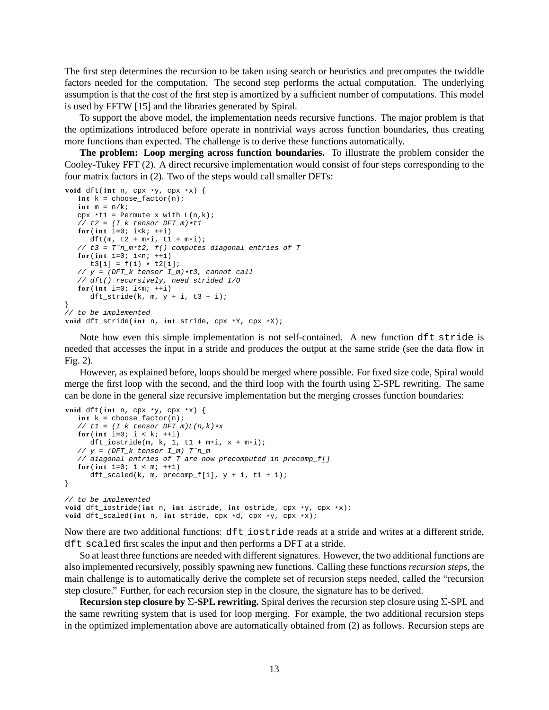The first step determines the recursion to be taken using search or heuristics and precomputes the twiddle factors needed for the computation. The second step performs the actual computation. The underlying assumption is that the cost of the first step is amortized by a sufficient number of computations. This model is used by FFTW [15] and the libraries generated by Spiral.

To support the above model, the implementation needs recursive functions. The major problem is that the optimizations introduced before operate in nontrivial ways across function boundaries, thus creating more functions than expected. The challenge is to derive these functions automatically.

**The problem: Loop merging across function boundaries.** To illustrate the problem consider the Cooley-Tukey FFT (2). A direct recursive implementation would consist of four steps corresponding to the four matrix factors in (2). Two of the steps would call smaller DFTs:

```
\text{void } \text{dft}(\text{int } n, \text{ cpx } *y, \text{ cpx } *x)int k = choose_factor(n);int m = n/k;
   cpx *t1 = Permute x with L(n,k);
   // t2 = (I \t tensor DFT m)*t1for(int i=0; i < k; ++i)
      dft(m, t2 + m*1, t1 + m*1);// t3 = Tˆn_m*t2, f() computes diagonal entries of T
   for(int i=0; i <n; ++i)
      t3[i] = f(i) * t2[i];// y = (DFT_k tensor I_m) * t3, cannot call// dft() recursively, need strided I/O
   for(int i=0; i < m; ++i)
      dft_{\text{stride}}(k, m, y + i, t3 + i);}
// to be implemented
void dft_stride(int n, int stride, cpx *Y, cpx *X);
```
Note how even this simple implementation is not self-contained. A new function  $df_{\text{t}}$  at is needed that accesses the input in a stride and produces the output at the same stride (see the data flow in Fig. 2).

However, as explained before, loops should be merged where possible. For fixed size code, Spiral would merge the first loop with the second, and the third loop with the fourth using  $\Sigma$ -SPL rewriting. The same can be done in the general size recursive implementation but the merging crosses function boundaries:

```
void dft(int n, cpx *y, cpx *x) {
   int k = choose_factor(n);// t1 = (I \nk tensor DFT m)L(n,k)*xfor(int i=0; i < k; ++i)
     dft\_isstride(m, k, 1, t1 + m*i, x + m*i);// y = (DFT_k tensor I_m) T^n_m// diagonal entries of T are now precomputed in precomp_f[]
  for(int i=0; i < m; ++i)
     dft\_scaled(k, m, precomp_f[i], y + i, tl + i);}
// to be implemented
void dft_iostride(int n, int istride, int ostride, cpx *y, cpx *x);
void dft_scaled(int n, int stride, cpx *d, cpx *y, cpx *x);
```
Now there are two additional functions:  $dft\_i$ ostride reads at a stride and writes at a different stride, dft scaled first scales the input and then performs a DFT at a stride.

So at least three functions are needed with different signatures. However, the two additional functions are also implemented recursively, possibly spawning new functions. Calling these functions *recursion steps*, the main challenge is to automatically derive the complete set of recursion steps needed, called the "recursion step closure." Further, for each recursion step in the closure, the signature has to be derived.

**Recursion step closure by** Σ**-SPL rewriting.** Spiral derives the recursion step closure using Σ-SPL and the same rewriting system that is used for loop merging. For example, the two additional recursion steps in the optimized implementation above are automatically obtained from (2) as follows. Recursion steps are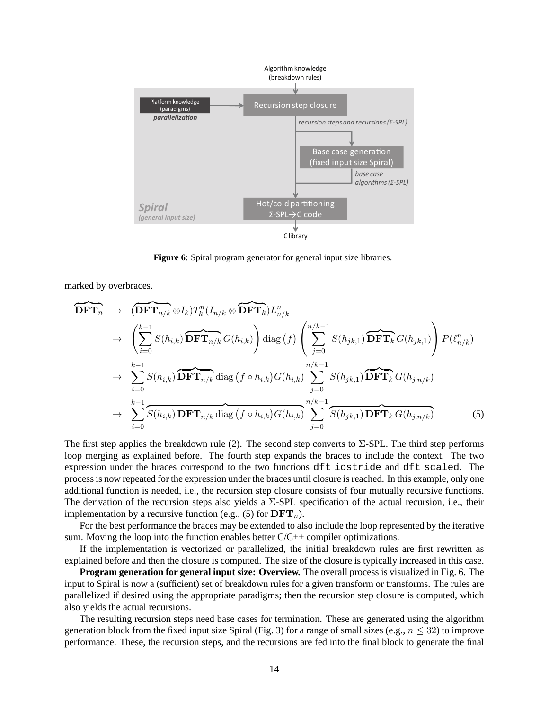

**Figure 6**: Spiral program generator for general input size libraries.

marked by overbraces.

$$
\widehat{\mathbf{DFT}_n} \rightarrow (\widehat{\mathbf{DFT}_n/k} \otimes I_k) T_k^n (I_{n/k} \otimes \widehat{\mathbf{DFT}_k}) L_{n/k}^n
$$
\n
$$
\rightarrow \left( \sum_{i=0}^{k-1} S(h_{i,k}) \widehat{\mathbf{DFT}_n/k} G(h_{i,k}) \right) \operatorname{diag}(f) \left( \sum_{j=0}^{n/k-1} S(h_{j,k,1}) \widehat{\mathbf{DFT}_k} G(h_{j,k,1}) \right) P(\ell_{n/k}^n)
$$
\n
$$
\rightarrow \sum_{i=0}^{k-1} S(h_{i,k}) \widehat{\mathbf{DFT}_n/k} \operatorname{diag}(f \circ h_{i,k}) G(h_{i,k}) \sum_{j=0}^{n/k-1} S(h_{j,k,1}) \widehat{\mathbf{DFT}_k} G(h_{j,n/k})
$$
\n
$$
\rightarrow \sum_{i=0}^{k-1} \widehat{S(h_{i,k}) \mathbf{DFT}_{n/k}} \operatorname{diag}(f \circ h_{i,k}) G(h_{i,k}) \sum_{j=0}^{n/k-1} \widehat{S(h_{j,k,1}) \mathbf{DFT}_k} G(h_{j,n/k}) \tag{5}
$$

The first step applies the breakdown rule (2). The second step converts to  $\Sigma$ -SPL. The third step performs loop merging as explained before. The fourth step expands the braces to include the context. The two expression under the braces correspond to the two functions  $dft$  iostride and  $dft$  scaled. The process is now repeated for the expression under the braces until closure is reached. In this example, only one additional function is needed, i.e., the recursion step closure consists of four mutually recursive functions. The derivation of the recursion steps also yields a  $\Sigma$ -SPL specification of the actual recursion, i.e., their implementation by a recursive function (e.g., (5) for  $\text{DFT}_n$ ).

For the best performance the braces may be extended to also include the loop represented by the iterative sum. Moving the loop into the function enables better  $C/C++$  compiler optimizations.

If the implementation is vectorized or parallelized, the initial breakdown rules are first rewritten as explained before and then the closure is computed. The size of the closure is typically increased in this case.

**Program generation for general input size: Overview.** The overall process is visualized in Fig. 6. The input to Spiral is now a (sufficient) set of breakdown rules for a given transform or transforms. The rules are parallelized if desired using the appropriate paradigms; then the recursion step closure is computed, which also yields the actual recursions.

The resulting recursion steps need base cases for termination. These are generated using the algorithm generation block from the fixed input size Spiral (Fig. 3) for a range of small sizes (e.g.,  $n \leq 32$ ) to improve performance. These, the recursion steps, and the recursions are fed into the final block to generate the final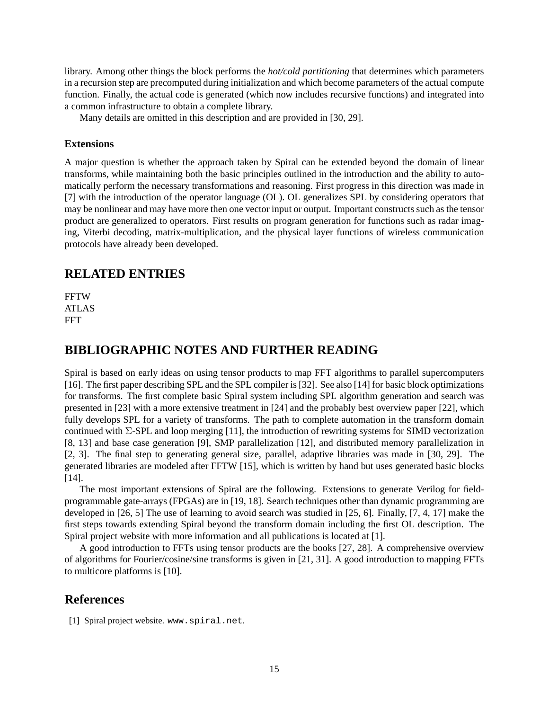library. Among other things the block performs the *hot/cold partitioning* that determines which parameters in a recursion step are precomputed during initialization and which become parameters of the actual compute function. Finally, the actual code is generated (which now includes recursive functions) and integrated into a common infrastructure to obtain a complete library.

Many details are omitted in this description and are provided in [30, 29].

### **Extensions**

A major question is whether the approach taken by Spiral can be extended beyond the domain of linear transforms, while maintaining both the basic principles outlined in the introduction and the ability to automatically perform the necessary transformations and reasoning. First progress in this direction was made in [7] with the introduction of the operator language (OL). OL generalizes SPL by considering operators that may be nonlinear and may have more then one vector input or output. Important constructs such as the tensor product are generalized to operators. First results on program generation for functions such as radar imaging, Viterbi decoding, matrix-multiplication, and the physical layer functions of wireless communication protocols have already been developed.

## **RELATED ENTRIES**

**FFTW** ATLAS FFT

## **BIBLIOGRAPHIC NOTES AND FURTHER READING**

Spiral is based on early ideas on using tensor products to map FFT algorithms to parallel supercomputers [16]. The first paper describing SPL and the SPL compiler is [32]. See also [14] for basic block optimizations for transforms. The first complete basic Spiral system including SPL algorithm generation and search was presented in [23] with a more extensive treatment in [24] and the probably best overview paper [22], which fully develops SPL for a variety of transforms. The path to complete automation in the transform domain continued with  $\Sigma$ -SPL and loop merging [11], the introduction of rewriting systems for SIMD vectorization [8, 13] and base case generation [9], SMP parallelization [12], and distributed memory parallelization in [2, 3]. The final step to generating general size, parallel, adaptive libraries was made in [30, 29]. The generated libraries are modeled after FFTW [15], which is written by hand but uses generated basic blocks [14].

The most important extensions of Spiral are the following. Extensions to generate Verilog for fieldprogrammable gate-arrays (FPGAs) are in [19, 18]. Search techniques other than dynamic programming are developed in [26, 5] The use of learning to avoid search was studied in [25, 6]. Finally, [7, 4, 17] make the first steps towards extending Spiral beyond the transform domain including the first OL description. The Spiral project website with more information and all publications is located at [1].

A good introduction to FFTs using tensor products are the books [27, 28]. A comprehensive overview of algorithms for Fourier/cosine/sine transforms is given in [21, 31]. A good introduction to mapping FFTs to multicore platforms is [10].

## **References**

[1] Spiral project website. www.spiral.net.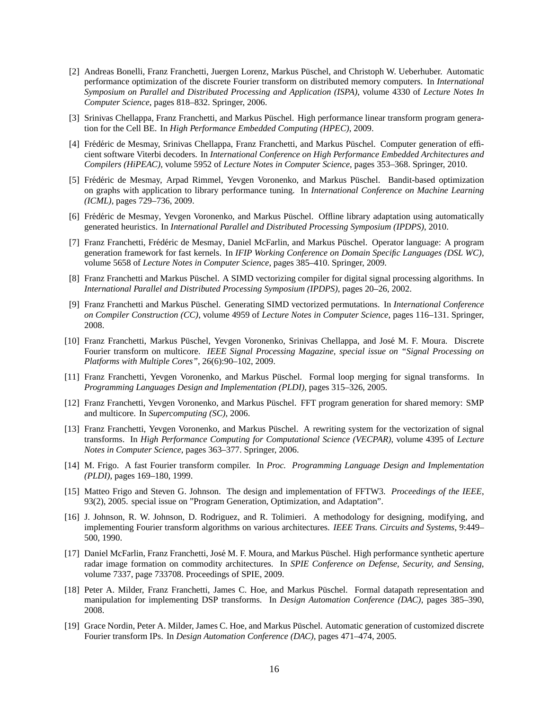- [2] Andreas Bonelli, Franz Franchetti, Juergen Lorenz, Markus Püschel, and Christoph W. Ueberhuber. Automatic performance optimization of the discrete Fourier transform on distributed memory computers. In *International Symposium on Parallel and Distributed Processing and Application (ISPA)*, volume 4330 of *Lecture Notes In Computer Science*, pages 818–832. Springer, 2006.
- [3] Srinivas Chellappa, Franz Franchetti, and Markus Püschel. High performance linear transform program generation for the Cell BE. In *High Performance Embedded Computing (HPEC)*, 2009.
- [4] Frédéric de Mesmay, Srinivas Chellappa, Franz Franchetti, and Markus Püschel. Computer generation of efficient software Viterbi decoders. In *International Conference on High Performance Embedded Architectures and Compilers (HiPEAC)*, volume 5952 of *Lecture Notes in Computer Science*, pages 353–368. Springer, 2010.
- [5] Frédéric de Mesmay, Arpad Rimmel, Yevgen Voronenko, and Markus Püschel. Bandit-based optimization on graphs with application to library performance tuning. In *International Conference on Machine Learning (ICML)*, pages 729–736, 2009.
- [6] Frédéric de Mesmay, Yevgen Voronenko, and Markus Püschel. Offline library adaptation using automatically generated heuristics. In *International Parallel and Distributed Processing Symposium (IPDPS)*, 2010.
- [7] Franz Franchetti, Frédéric de Mesmay, Daniel McFarlin, and Markus Püschel. Operator language: A program generation framework for fast kernels. In *IFIP Working Conference on Domain Specific Languages (DSL WC)*, volume 5658 of *Lecture Notes in Computer Science*, pages 385–410. Springer, 2009.
- [8] Franz Franchetti and Markus Püschel. A SIMD vectorizing compiler for digital signal processing algorithms. In *International Parallel and Distributed Processing Symposium (IPDPS)*, pages 20–26, 2002.
- [9] Franz Franchetti and Markus Püschel. Generating SIMD vectorized permutations. In *International Conference on Compiler Construction (CC)*, volume 4959 of *Lecture Notes in Computer Science*, pages 116–131. Springer, 2008.
- [10] Franz Franchetti, Markus Püschel, Yevgen Voronenko, Srinivas Chellappa, and José M. F. Moura. Discrete Fourier transform on multicore. *IEEE Signal Processing Magazine, special issue on "Signal Processing on Platforms with Multiple Cores"*, 26(6):90–102, 2009.
- [11] Franz Franchetti, Yevgen Voronenko, and Markus Püschel. Formal loop merging for signal transforms. In *Programming Languages Design and Implementation (PLDI)*, pages 315–326, 2005.
- [12] Franz Franchetti, Yevgen Voronenko, and Markus Püschel. FFT program generation for shared memory: SMP and multicore. In *Supercomputing (SC)*, 2006.
- [13] Franz Franchetti, Yevgen Voronenko, and Markus Püschel. A rewriting system for the vectorization of signal transforms. In *High Performance Computing for Computational Science (VECPAR)*, volume 4395 of *Lecture Notes in Computer Science*, pages 363–377. Springer, 2006.
- [14] M. Frigo. A fast Fourier transform compiler. In *Proc. Programming Language Design and Implementation (PLDI)*, pages 169–180, 1999.
- [15] Matteo Frigo and Steven G. Johnson. The design and implementation of FFTW3. *Proceedings of the IEEE*, 93(2), 2005. special issue on "Program Generation, Optimization, and Adaptation".
- [16] J. Johnson, R. W. Johnson, D. Rodriguez, and R. Tolimieri. A methodology for designing, modifying, and implementing Fourier transform algorithms on various architectures. *IEEE Trans. Circuits and Systems*, 9:449– 500, 1990.
- [17] Daniel McFarlin, Franz Franchetti, José M. F. Moura, and Markus Püschel. High performance synthetic aperture radar image formation on commodity architectures. In *SPIE Conference on Defense, Security, and Sensing*, volume 7337, page 733708. Proceedings of SPIE, 2009.
- [18] Peter A. Milder, Franz Franchetti, James C. Hoe, and Markus Püschel. Formal datapath representation and manipulation for implementing DSP transforms. In *Design Automation Conference (DAC)*, pages 385–390, 2008.
- [19] Grace Nordin, Peter A. Milder, James C. Hoe, and Markus Puschel. Automatic generation of customized discrete ¨ Fourier transform IPs. In *Design Automation Conference (DAC)*, pages 471–474, 2005.